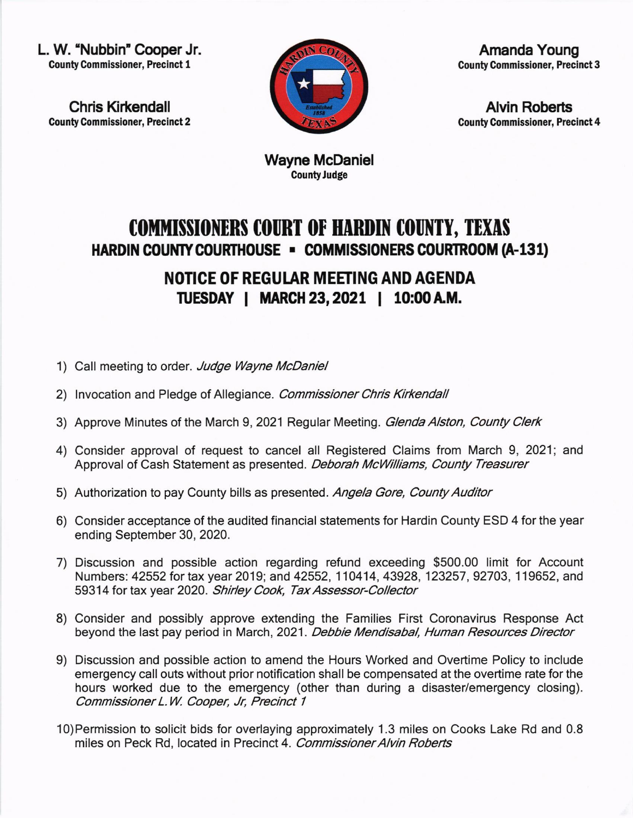L. W. "Nubbin" Cooper Jr. County Commissioner, Precinct 1

Chris Kirkendall **County Commissioner, Precinct 2** 



Amanda Young **County Commissioner, Precinct 3** 

**Alvin Roberts County Commissioner, Precinct 4** 

Wayne McDaniel CountyJudge

## COMMISSIONERS COURT OF HARDIN COUNTY, TEXAS HARDIN COUNTY COURTHOUSE - COMMISSIONERS COURTROOM (A-131)

NOTICE OF REGULAR MEETING AND AGENDA ruESDAY I MARGH 23,2021 | 10:00A.M.

- 1) Call meeting to order. Judge Wayne McDaniel
- 2) Invocation and Pledge of Allegiance. Commissioner Chris Kirkendall
- 3) Approve Minutes of the March 9, 2021 Regular Meeting. Glenda Alston, County Clerk
- 4) Consider approval of request to cancel all Registered Claims from March 9, 2021; and Approval of Cash Statement as presented. Deborah McWilliams, County Treasurer
- 5) Authorization to pay County bills as presented. Angela Gore, County Auditor
- 6) Consider acceptance of the audited financial statements for Hardin County ESD 4 for the year ending September 30, 2020.
- 7) Discussion and possible action regarding refund exceeding \$500.00 limit for Account Numbers: 42552 tor tax year 2019; and 42552, 110414, 43928, 123257 , 92703, 1 19652, and 59314 for tax year 2020. Shirley Cook, Tax Assessor-Collector
- 8) Consider and possibly approve extending the Families First Coronavirus Response Act beyond the last pay period in March, 2021. Debbie Mendisabal, Human Resources Director
- 9) Discussion and possible action to amend the Hours Worked and Overtime Policy to include emergency call outs without prior notification shall be compensated at the overtime rate for the hours worked due to the emergency (other than during a disaster/emergency closing). Commissioner L.W. Cooper, Jr, Precinct 1
- 10)Permission to solicit bids for overlaying approximately 1.3 miles on Cooks Lake Rd and 0.8 miles on Peck Rd, located in Precinct 4. Commissioner Alvin Roberts